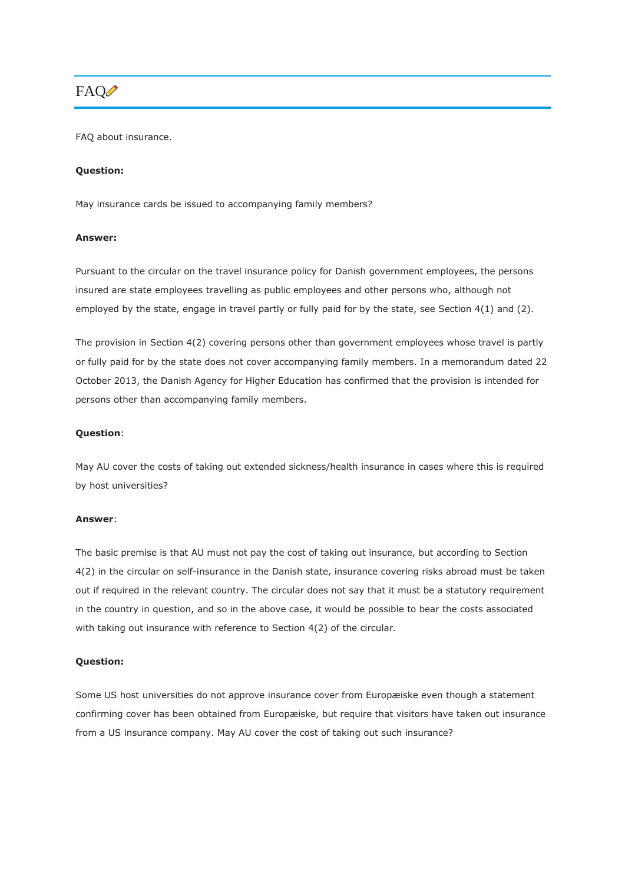# FAQ<sup>1</sup>

FAQ about insurance.

#### **Question:**

May insurance cards be issued to accompanying family members?

#### **Answer:**

Pursuant to the circular on the travel insurance policy for Danish government employees, the persons insured are state employees travelling as public employees and other persons who, although not employed by the state, engage in travel partly or fully paid for by the state, see Section 4(1) and (2).

The provision in Section 4(2) covering persons other than government employees whose travel is partly or fully paid for by the state does not cover accompanying family members. In a memorandum dated 22 October 2013, the Danish Agency for Higher Education has confirmed that the provision is intended for persons other than accompanying family members.

#### **Question**:

May AU cover the costs of taking out extended sickness/health insurance in cases where this is required by host universities?

#### **Answer**:

The basic premise is that AU must not pay the cost of taking out insurance, but according to Section 4(2) in the circular on self-insurance in the Danish state, insurance covering risks abroad must be taken out if required in the relevant country. The circular does not say that it must be a statutory requirement in the country in question, and so in the above case, it would be possible to bear the costs associated with taking out insurance with reference to Section 4(2) of the circular.

### **Question:**

Some US host universities do not approve insurance cover from Europæiske even though a statement confirming cover has been obtained from Europæiske, but require that visitors have taken out insurance from a US insurance company. May AU cover the cost of taking out such insurance?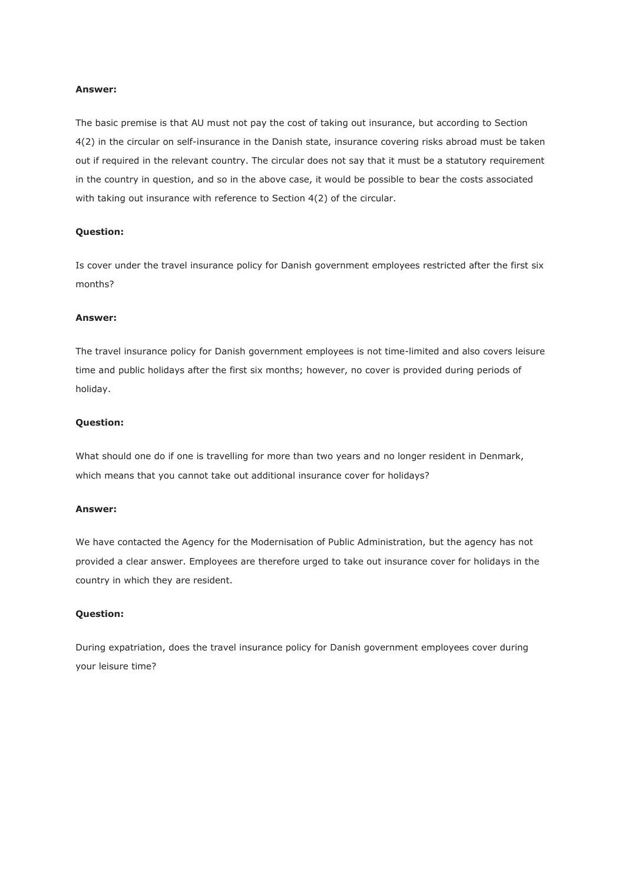# **Answer:**

The basic premise is that AU must not pay the cost of taking out insurance, but according to Section 4(2) in the circular on self-insurance in the Danish state, insurance covering risks abroad must be taken out if required in the relevant country. The circular does not say that it must be a statutory requirement in the country in question, and so in the above case, it would be possible to bear the costs associated with taking out insurance with reference to Section 4(2) of the circular.

### **Question:**

Is cover under the travel insurance policy for Danish government employees restricted after the first six months?

#### **Answer:**

The travel insurance policy for Danish government employees is not time-limited and also covers leisure time and public holidays after the first six months; however, no cover is provided during periods of holiday.

#### **Question:**

What should one do if one is travelling for more than two years and no longer resident in Denmark, which means that you cannot take out additional insurance cover for holidays?

#### **Answer:**

We have contacted the Agency for the Modernisation of Public Administration, but the agency has not provided a clear answer. Employees are therefore urged to take out insurance cover for holidays in the country in which they are resident.

### **Question:**

During expatriation, does the travel insurance policy for Danish government employees cover during your leisure time?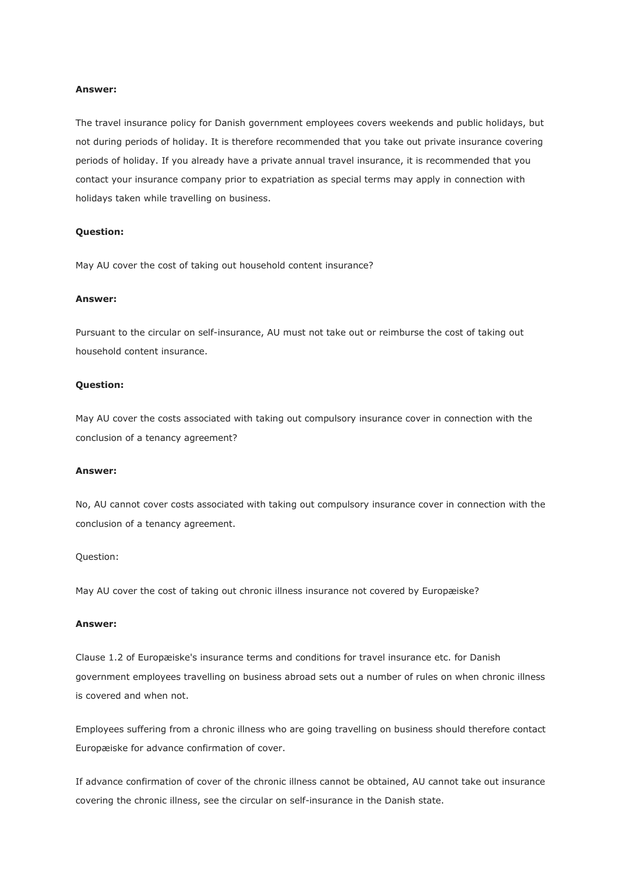# **Answer:**

The travel insurance policy for Danish government employees covers weekends and public holidays, but not during periods of holiday. It is therefore recommended that you take out private insurance covering periods of holiday. If you already have a private annual travel insurance, it is recommended that you contact your insurance company prior to expatriation as special terms may apply in connection with holidays taken while travelling on business.

#### **Question:**

May AU cover the cost of taking out household content insurance?

#### **Answer:**

Pursuant to the circular on self-insurance, AU must not take out or reimburse the cost of taking out household content insurance.

#### **Question:**

May AU cover the costs associated with taking out compulsory insurance cover in connection with the conclusion of a tenancy agreement?

#### **Answer:**

No, AU cannot cover costs associated with taking out compulsory insurance cover in connection with the conclusion of a tenancy agreement.

# Question:

May AU cover the cost of taking out chronic illness insurance not covered by Europæiske?

# **Answer:**

Clause 1.2 of Europæiske's insurance terms and conditions for travel insurance etc. for Danish government employees travelling on business abroad sets out a number of rules on when chronic illness is covered and when not.

Employees suffering from a chronic illness who are going travelling on business should therefore contact Europæiske for advance confirmation of cover.

If advance confirmation of cover of the chronic illness cannot be obtained, AU cannot take out insurance covering the chronic illness, see the circular on self-insurance in the Danish state.